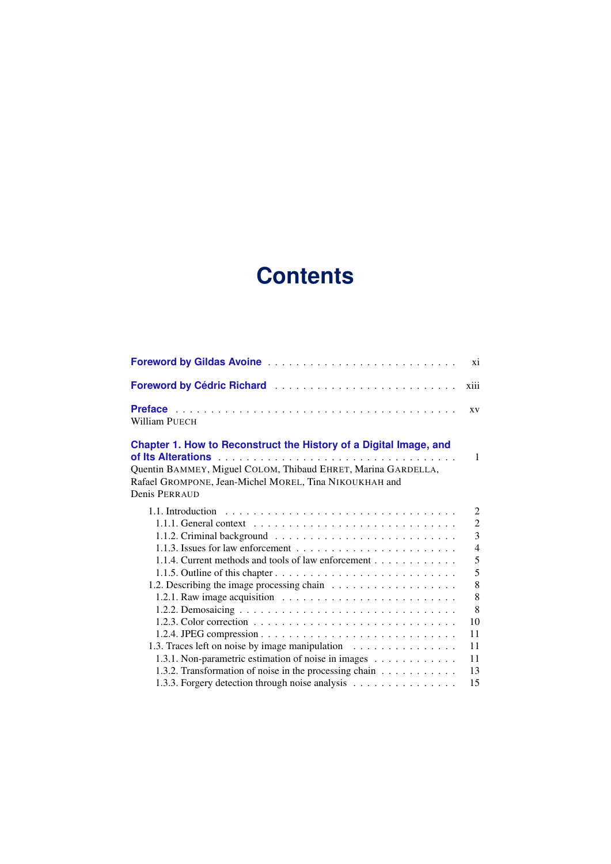## **Contents**

| Foreword by Gildas Avoine                                                                                                                                                                    | xi             |
|----------------------------------------------------------------------------------------------------------------------------------------------------------------------------------------------|----------------|
| Foreword by Cédric Richard                                                                                                                                                                   | xiii           |
| William PUECH                                                                                                                                                                                | <b>XV</b>      |
| Chapter 1. How to Reconstruct the History of a Digital Image, and<br>Quentin BAMMEY, Miguel COLOM, Thibaud EHRET, Marina GARDELLA,<br>Rafael GROMPONE, Jean-Michel MOREL, Tina NIKOUKHAH and | 1              |
| Denis PERRAUD                                                                                                                                                                                |                |
|                                                                                                                                                                                              | $\overline{2}$ |
|                                                                                                                                                                                              | $\overline{2}$ |
|                                                                                                                                                                                              | $\overline{3}$ |
| 1.1.3. Issues for law enforcement $\dots \dots \dots \dots \dots \dots \dots \dots$                                                                                                          | $\overline{4}$ |
| 1.1.4. Current methods and tools of law enforcement                                                                                                                                          | 5              |
|                                                                                                                                                                                              | 5              |
|                                                                                                                                                                                              | 8              |
|                                                                                                                                                                                              | 8              |
|                                                                                                                                                                                              | 8              |
| 1.2.3. Color correction $\ldots \ldots \ldots \ldots \ldots \ldots \ldots \ldots \ldots \ldots$                                                                                              | 10             |
|                                                                                                                                                                                              | 11             |
| 1.3. Traces left on noise by image manipulation                                                                                                                                              | 11             |
| 1.3.1. Non-parametric estimation of noise in images                                                                                                                                          | 11             |
| 1.3.2. Transformation of noise in the processing chain                                                                                                                                       | 13             |
| 1.3.3. Forgery detection through noise analysis                                                                                                                                              | 15             |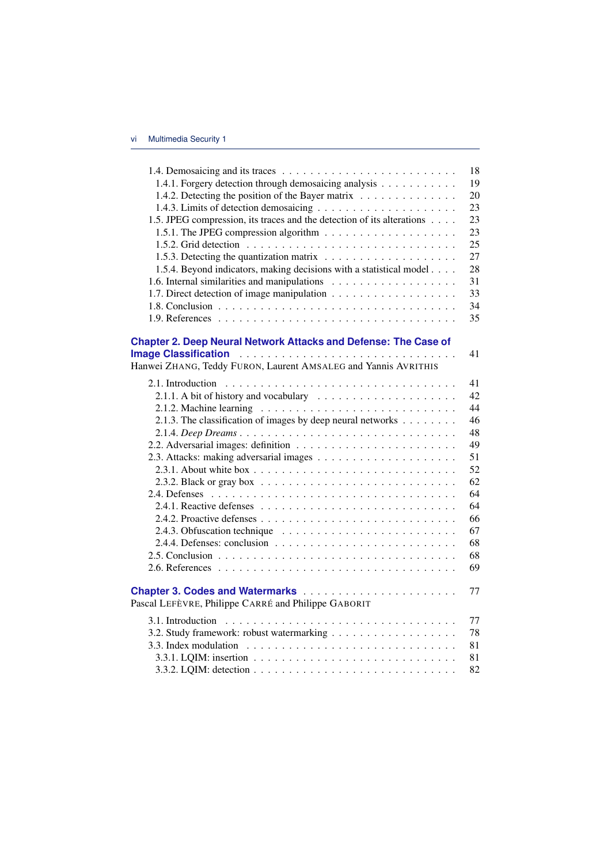|                                                                                      | 18 |
|--------------------------------------------------------------------------------------|----|
| 1.4.1. Forgery detection through demosaicing analysis                                | 19 |
| 1.4.2. Detecting the position of the Bayer matrix                                    | 20 |
|                                                                                      | 23 |
| 1.5. JPEG compression, its traces and the detection of its alterations               | 23 |
|                                                                                      | 23 |
|                                                                                      | 25 |
| 1.5.3. Detecting the quantization matrix $\dots \dots \dots \dots \dots \dots \dots$ | 27 |
| 1.5.4. Beyond indicators, making decisions with a statistical model                  | 28 |
|                                                                                      | 31 |
|                                                                                      | 33 |
|                                                                                      | 34 |
|                                                                                      | 35 |
| <b>Chapter 2. Deep Neural Network Attacks and Defense: The Case of</b>               |    |
|                                                                                      | 41 |
| Hanwei ZHANG, Teddy FURON, Laurent AMSALEG and Yannis AVRITHIS                       |    |
|                                                                                      | 41 |
| 2.1.1. A bit of history and vocabulary                                               | 42 |
|                                                                                      | 44 |
| 2.1.3. The classification of images by deep neural networks                          | 46 |
| 2.1.4. Deep Dreams                                                                   | 48 |
|                                                                                      | 49 |
|                                                                                      | 51 |
|                                                                                      | 52 |
|                                                                                      | 62 |
|                                                                                      | 64 |
|                                                                                      | 64 |
|                                                                                      | 66 |
|                                                                                      | 67 |
|                                                                                      | 68 |
|                                                                                      | 68 |
|                                                                                      | 69 |
|                                                                                      | 77 |
| Pascal LEFÈVRE, Philippe CARRÉ and Philippe GABORIT                                  |    |
|                                                                                      | 77 |
|                                                                                      | 78 |
|                                                                                      | 81 |
|                                                                                      | 81 |
|                                                                                      | 82 |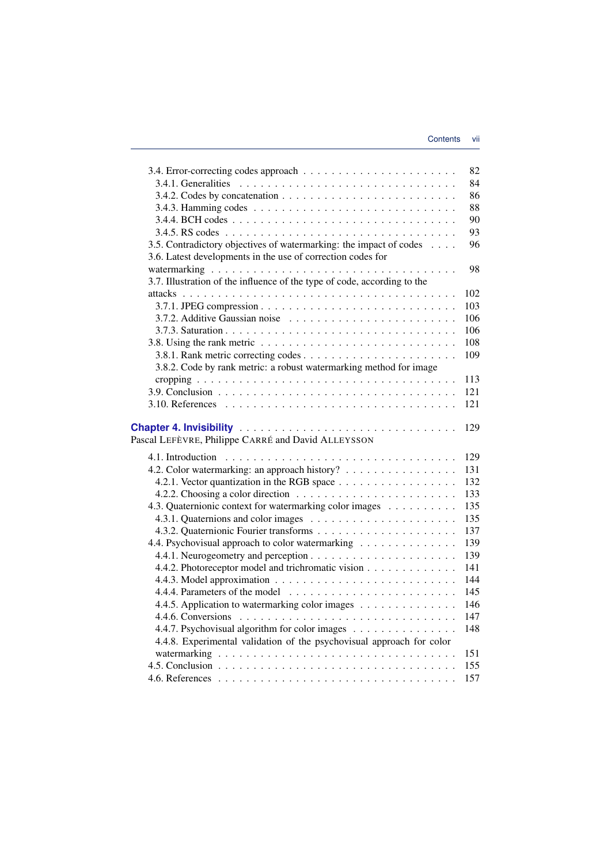|                                                                                                | 82  |
|------------------------------------------------------------------------------------------------|-----|
|                                                                                                | 84  |
|                                                                                                | 86  |
|                                                                                                | 88  |
|                                                                                                | 90  |
|                                                                                                | 93  |
| 3.5. Contradictory objectives of watermarking: the impact of codes                             | 96  |
| 3.6. Latest developments in the use of correction codes for                                    |     |
|                                                                                                | 98  |
| 3.7. Illustration of the influence of the type of code, according to the                       |     |
|                                                                                                | 102 |
|                                                                                                | 103 |
|                                                                                                | 106 |
|                                                                                                | 106 |
| 3.8. Using the rank metric $\dots \dots \dots \dots \dots \dots \dots \dots \dots \dots \dots$ | 108 |
|                                                                                                | 109 |
| 3.8.2. Code by rank metric: a robust watermarking method for image                             |     |
|                                                                                                | 113 |
|                                                                                                | 121 |
|                                                                                                | 121 |
|                                                                                                |     |
|                                                                                                | 129 |
| Pascal LEFÈVRE, Philippe CARRÉ and David ALLEYSSON                                             |     |
|                                                                                                | 129 |
| 4.2. Color watermarking: an approach history?                                                  | 131 |
|                                                                                                | 132 |
|                                                                                                | 133 |
| 4.3. Quaternionic context for watermarking color images                                        | 135 |
|                                                                                                | 135 |
|                                                                                                | 137 |
| 4.4. Psychovisual approach to color watermarking                                               | 139 |
|                                                                                                | 139 |
| 4.4.2. Photoreceptor model and trichromatic vision                                             | 141 |
|                                                                                                | 144 |
|                                                                                                | 145 |
|                                                                                                | 146 |
| 4.4.5. Application to watermarking color images                                                | 147 |
|                                                                                                |     |
| 4.4.7. Psychovisual algorithm for color images                                                 | 148 |
| 4.4.8. Experimental validation of the psychovisual approach for color                          |     |
|                                                                                                | 151 |
|                                                                                                | 155 |
|                                                                                                | 157 |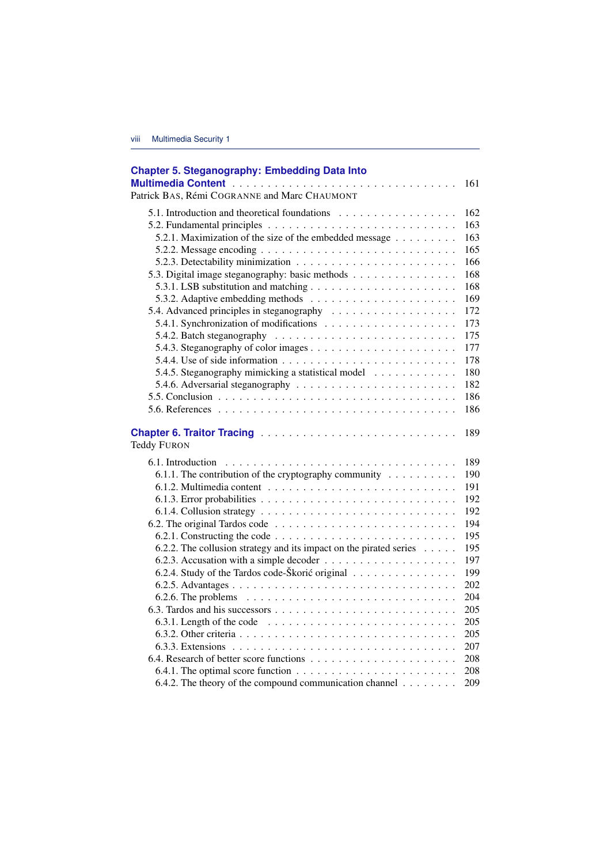| <b>Chapter 5. Steganography: Embedding Data Into</b>                                             |     |
|--------------------------------------------------------------------------------------------------|-----|
|                                                                                                  | 161 |
| Patrick BAS, Rémi COGRANNE and Marc CHAUMONT                                                     |     |
| 5.1. Introduction and theoretical foundations                                                    | 162 |
|                                                                                                  | 163 |
| 5.2.1. Maximization of the size of the embedded message                                          | 163 |
|                                                                                                  | 165 |
|                                                                                                  | 166 |
| 5.3. Digital image steganography: basic methods                                                  | 168 |
|                                                                                                  | 168 |
|                                                                                                  | 169 |
|                                                                                                  | 172 |
|                                                                                                  | 173 |
| 5.4.2. Batch steganography $\ldots \ldots \ldots \ldots \ldots \ldots \ldots \ldots$             | 175 |
|                                                                                                  | 177 |
| 5.4.4. Use of side information $\ldots \ldots \ldots \ldots \ldots \ldots \ldots \ldots$         | 178 |
| 5.4.5. Steganography mimicking a statistical model                                               | 180 |
|                                                                                                  | 182 |
|                                                                                                  | 186 |
|                                                                                                  | 186 |
| <b>Teddy FURON</b>                                                                               | 189 |
|                                                                                                  | 189 |
| 6.1.1. The contribution of the cryptography community $\dots \dots \dots$                        | 190 |
|                                                                                                  | 191 |
|                                                                                                  | 192 |
|                                                                                                  | 192 |
|                                                                                                  | 194 |
| 6.2.1. Constructing the code $\dots \dots \dots \dots \dots \dots \dots \dots \dots \dots \dots$ | 195 |
| 6.2.2. The collusion strategy and its impact on the pirated series $\dots$ .                     | 195 |
|                                                                                                  | 197 |
| 6.2.4. Study of the Tardos code-Škorić original                                                  | 199 |
|                                                                                                  | 202 |
| 6.2.6. The problems $\ldots \ldots \ldots \ldots \ldots \ldots \ldots \ldots \ldots \ldots$      | 204 |
|                                                                                                  | 205 |
| 6.3.1. Length of the code $\ldots \ldots \ldots \ldots \ldots \ldots \ldots \ldots$              | 205 |
|                                                                                                  | 205 |
| 6.3.3. Extensions $\ldots \ldots \ldots \ldots \ldots \ldots \ldots \ldots \ldots \ldots \ldots$ | 207 |
|                                                                                                  | 208 |
|                                                                                                  | 208 |
| 6.4.2. The theory of the compound communication channel $\dots \dots$                            | 209 |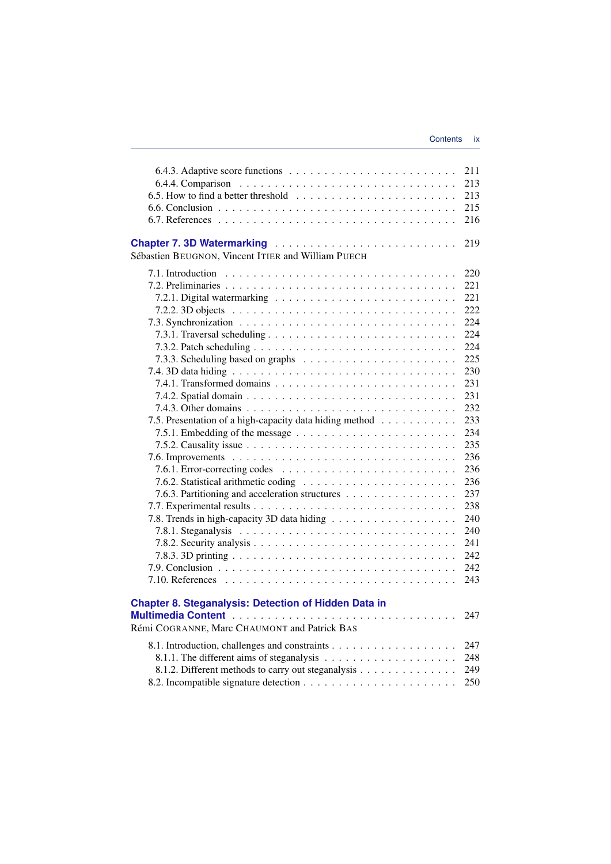| 6.5. How to find a better threshold $\ldots \ldots \ldots \ldots \ldots \ldots \ldots$                                                                                                                    | 211<br>213<br>213<br>215<br>216                                                                                                                                             |
|-----------------------------------------------------------------------------------------------------------------------------------------------------------------------------------------------------------|-----------------------------------------------------------------------------------------------------------------------------------------------------------------------------|
| Chapter 7.3D Watermarking<br>Sébastien BEUGNON, Vincent ITIER and William PUECH                                                                                                                           | 219                                                                                                                                                                         |
| 7.5. Presentation of a high-capacity data hiding method<br>7.6.1. Error-correcting codes $\dots \dots \dots \dots \dots \dots \dots \dots \dots \dots$<br>7.6.3. Partitioning and acceleration structures | 220<br>221<br>221<br>222<br>224<br>224<br>224<br>225<br>230<br>231<br>231<br>232<br>233<br>234<br>235<br>236<br>236<br>236<br>237<br>238<br>240<br>240<br>241<br>242<br>242 |
| <b>Chapter 8. Steganalysis: Detection of Hidden Data in</b>                                                                                                                                               | 243<br>247                                                                                                                                                                  |
| Rémi COGRANNE, Marc CHAUMONT and Patrick BAS<br>8.1.2. Different methods to carry out steganalysis                                                                                                        | 247<br>248<br>249<br>250                                                                                                                                                    |